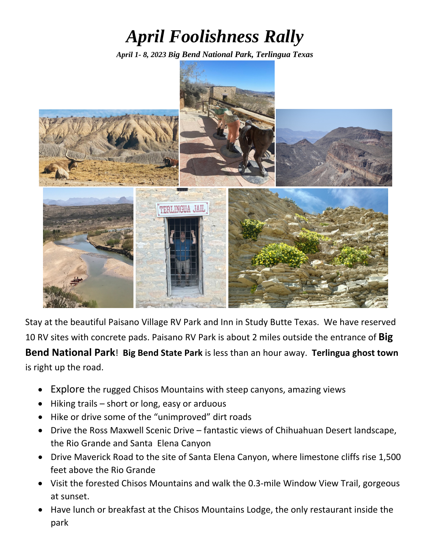## *April Foolishness Rally*

*April 1- 8, 2023 Big Bend National Park, Terlingua Texas* 



Stay at the beautiful Paisano Village RV Park and Inn in Study Butte Texas. We have reserved 10 RV sites with concrete pads. Paisano RV Park is about 2 miles outside the entrance of **Big Bend National Park**! **Big Bend State Park** is less than an hour away. **Terlingua ghost town** is right up the road.

- Explore the rugged Chisos Mountains with steep canyons, amazing views
- Hiking trails short or long, easy or arduous
- Hike or drive some of the "unimproved" dirt roads
- Drive the Ross Maxwell Scenic Drive fantastic views of Chihuahuan Desert landscape, the Rio Grande and Santa Elena Canyon
- Drive Maverick Road to the site of Santa Elena Canyon, where limestone cliffs rise 1,500 feet above the Rio Grande
- Visit the forested Chisos Mountains and walk the 0.3‐mile Window View Trail, gorgeous at sunset.
- Have lunch or breakfast at the Chisos Mountains Lodge, the only restaurant inside the park